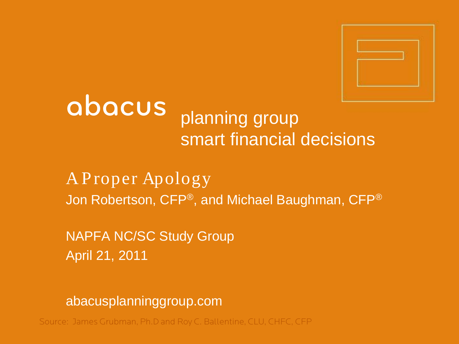

## abacus planning group smart financial decisions

A P roper Apology Jon Robertson, CFP®, and Michael Baughman, CFP®

NAPFA NC/SC Study Group April 21, 2011

abacusplanninggroup.com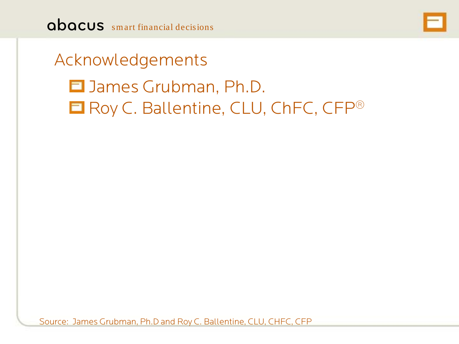

## Acknowledgements

# $\blacksquare$  James Grubman, Ph.D. **E** Roy C. Ballentine, CLU, ChFC, CFP<sup>®</sup>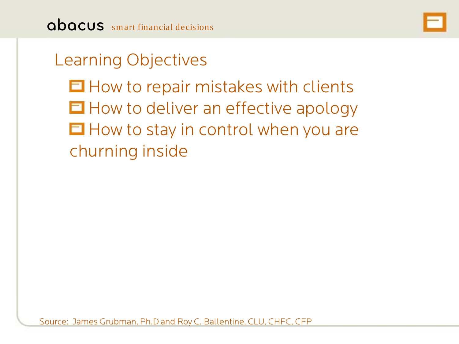

## Learning Objectives

 $\blacksquare$  How to repair mistakes with clients  $\blacksquare$  How to deliver an effective apology  $\blacksquare$  How to stay in control when you are churning inside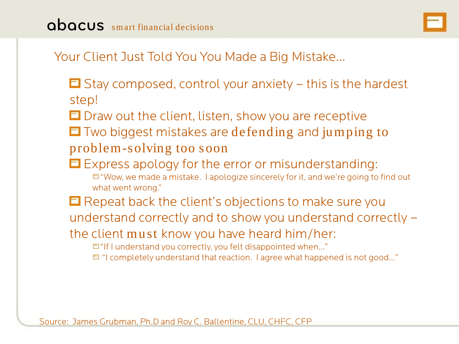

### Your Client Just Told You You Made a Big Mistake…

- $\Box$  Stay composed, control your anxiety this is the hardest step!
- $\Box$  Draw out the client, listen, show you are receptive
- $\Box$  Two biggest mistakes are defending and jumping to

#### problem-solving too soon

- $\Box$  Express apology for the error or misunderstanding:  $\Box$  "Wow, we made a mistake. I apologize sincerely for it, and we're going to find out what went wrong."
- $\Box$  Repeat back the client's objections to make sure you understand correctly and to show you understand correctly –

the client must know you have heard him/her:

"If I understand you correctly, you felt disappointed when…"

 $\Box$  "I completely understand that reaction. I agree what happened is not good..."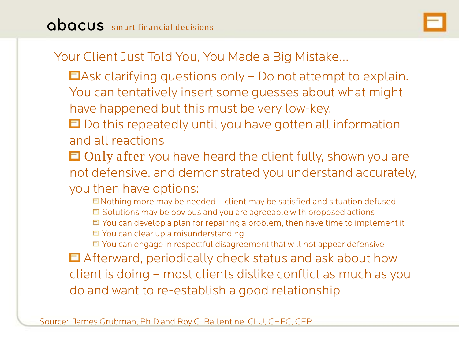

## Your Client Just Told You, You Made a Big Mistake…

- $\Box$  Ask clarifying questions only  $\vdash$  Do not attempt to explain. You can tentatively insert some guesses about what might have happened but this must be very low-key.
- $\Box$  Do this repeatedly until you have gotten all information and all reactions
- $\Box$  Only after you have heard the client fully, shown you are not defensive, and demonstrated you understand accurately, you then have options:
	- $\Box$ Nothing more may be needed client may be satisfied and situation defused  $\Box$  Solutions may be obvious and you are agreeable with proposed actions  $\Box$  You can develop a plan for repairing a problem, then have time to implement it  $\Box$  You can clear up a misunderstanding
	- $\Box$  You can engage in respectful disagreement that will not appear defensive
- Afterward, periodically check status and ask about how client is doing – most clients dislike conflict as much as you do and want to re-establish a good relationship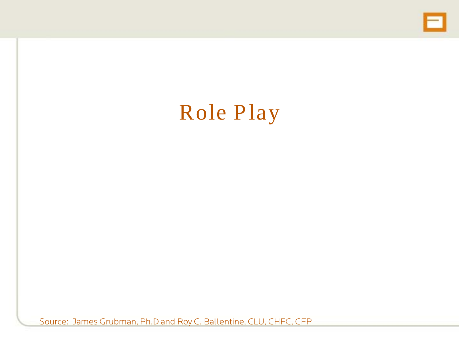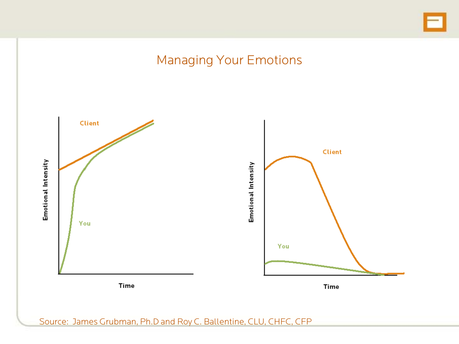

### Managing Your Emotions

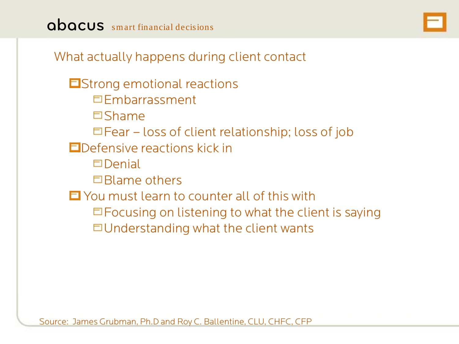

What actually happens during client contact

**E**Strong emotional reactions Embarrassment Shame  $\Box$  Fear – loss of client relationship; loss of job **E** Defensive reactions kick in  $\Box$ Denial Blame others You must learn to counter all of this with  $\Box$  Focusing on listening to what the client is saying  $\Box$ Understanding what the client wants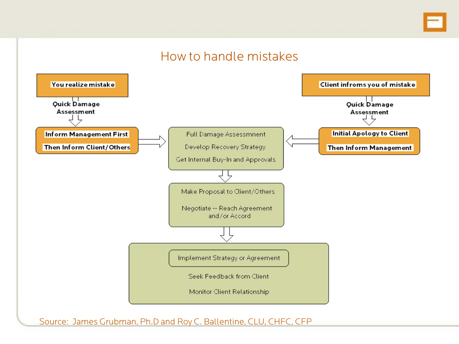#### How to handle mistakes

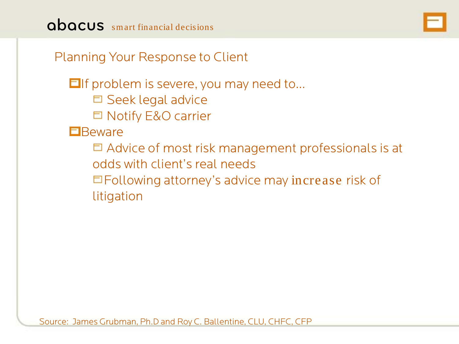

Planning Your Response to Client

 $\Box$  If problem is severe, you may need to...

- $\Box$  Seek legal advice
- □ Notify E&O carrier

**E** Beware

 $\Box$  Advice of most risk management professionals is at odds with client's real needs

Following attorney's advice may increase risk of litigation